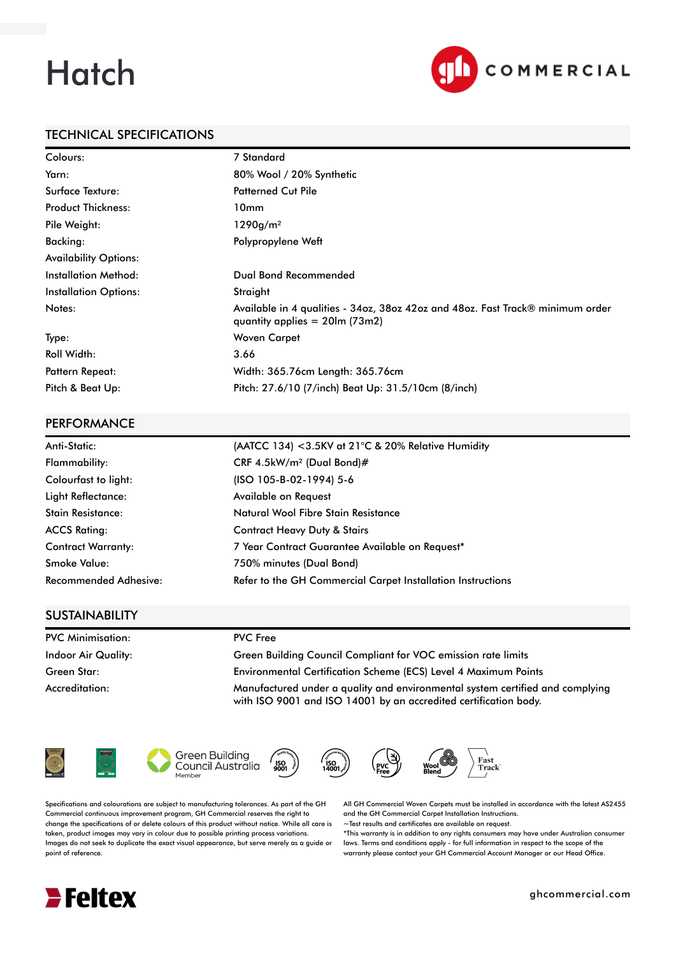# **Hatch**



## TECHNICAL SPECIFICATIONS

| Colours:                     | 7 Standard                                                                                                          |
|------------------------------|---------------------------------------------------------------------------------------------------------------------|
| Yarn:                        | 80% Wool / 20% Synthetic                                                                                            |
| Surface Texture:             | <b>Patterned Cut Pile</b>                                                                                           |
| <b>Product Thickness:</b>    | 10mm                                                                                                                |
| Pile Weight:                 | 1290g/m <sup>2</sup>                                                                                                |
| Backing:                     | Polypropylene Weft                                                                                                  |
| <b>Availability Options:</b> |                                                                                                                     |
| <b>Installation Method:</b>  | Dual Bond Recommended                                                                                               |
| <b>Installation Options:</b> | Straight                                                                                                            |
| Notes:                       | Available in 4 qualities - 34oz, 38oz 42oz and 48oz. Fast Track® minimum order<br>quantity applies $= 20$ lm (73m2) |
| Type:                        | Woven Carpet                                                                                                        |
| <b>Roll Width:</b>           | 3.66                                                                                                                |
| <b>Pattern Repeat:</b>       | Width: 365.76cm Length: 365.76cm                                                                                    |
| Pitch & Beat Up:             | Pitch: 27.6/10 (7/inch) Beat Up: 31.5/10cm (8/inch)                                                                 |

#### PERFORMANCE

| Anti-Static:                 | (AATCC 134) < 3.5KV at 21°C & 20% Relative Humidity         |
|------------------------------|-------------------------------------------------------------|
| Flammability:                | CRF 4.5kW/m <sup>2</sup> (Dual Bond)#                       |
| Colourfast to light:         | (ISO 105-B-02-1994) 5-6                                     |
| Light Reflectance:           | Available on Request                                        |
| <b>Stain Resistance:</b>     | Natural Wool Fibre Stain Resistance                         |
| <b>ACCS Rating:</b>          | <b>Contract Heavy Duty &amp; Stairs</b>                     |
| <b>Contract Warranty:</b>    | 7 Year Contract Guarantee Available on Request*             |
| <b>Smoke Value:</b>          | 750% minutes (Dual Bond)                                    |
| <b>Recommended Adhesive:</b> | Refer to the GH Commercial Carpet Installation Instructions |

## **SUSTAINABILITY**

| <b>PVC Minimisation:</b>   | <b>PVC</b> Free                                                                                                                                   |
|----------------------------|---------------------------------------------------------------------------------------------------------------------------------------------------|
| <b>Indoor Air Quality:</b> | Green Building Council Compliant for VOC emission rate limits                                                                                     |
| Green Star:                | Environmental Certification Scheme (ECS) Level 4 Maximum Points                                                                                   |
| Accreditation:             | Manufactured under a quality and environmental system certified and complying<br>with ISO 9001 and ISO 14001 by an accredited certification body. |











Specifications and colourations are subject to manufacturing tolerances. As part of the GH Commercial continuous improvement program, GH Commercial reserves the right to change the specifications of or delete colours of this product without notice. While all care is taken, product images may vary in colour due to possible printing process variations. Images do not seek to duplicate the exact visual appearance, but serve merely as a guide or point of reference.

All GH Commercial Woven Carpets must be installed in accordance with the latest AS2455 and the GH Commercial Carpet Installation Instructions.

~Test results and certificates are available on request.

\*This warranty is in addition to any rights consumers may have under Australian consumer laws. Terms and conditions apply - for full information in respect to the scope of the warranty please contact your GH Commercial Account Manager or our Head Office.